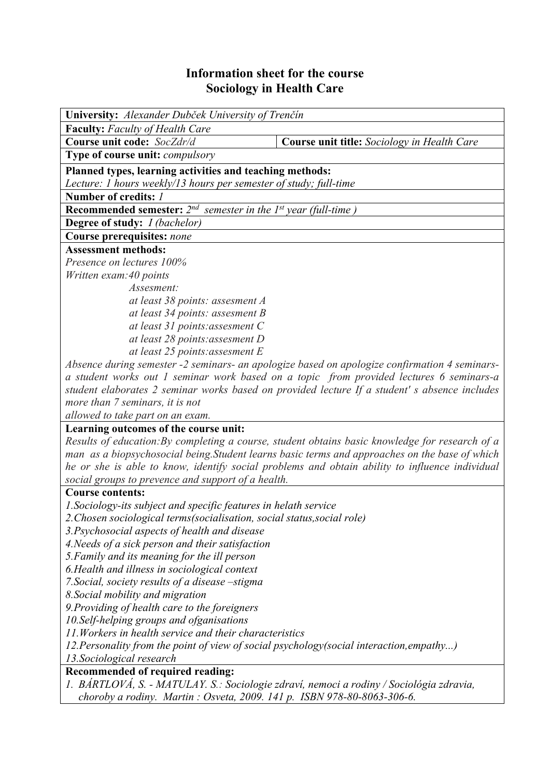## **Information sheet for the course Sociology in Health Care**

| <b>University:</b> Alexander Dubček University of Trenčín                                                                |                                                                                                 |  |  |  |  |  |
|--------------------------------------------------------------------------------------------------------------------------|-------------------------------------------------------------------------------------------------|--|--|--|--|--|
| <b>Faculty:</b> Faculty of Health Care                                                                                   |                                                                                                 |  |  |  |  |  |
| Course unit code: SocZdr/d                                                                                               | Course unit title: Sociology in Health Care                                                     |  |  |  |  |  |
| Type of course unit: compulsory                                                                                          |                                                                                                 |  |  |  |  |  |
| Planned types, learning activities and teaching methods:                                                                 |                                                                                                 |  |  |  |  |  |
| Lecture: 1 hours weekly/13 hours per semester of study; full-time                                                        |                                                                                                 |  |  |  |  |  |
| Number of credits: /                                                                                                     |                                                                                                 |  |  |  |  |  |
| <b>Recommended semester:</b> $2^{nd}$ semester in the $1^{st}$ year (full-time)                                          |                                                                                                 |  |  |  |  |  |
| <b>Degree of study:</b> <i>I (bachelor)</i>                                                                              |                                                                                                 |  |  |  |  |  |
| <b>Course prerequisites: none</b>                                                                                        |                                                                                                 |  |  |  |  |  |
| <b>Assessment methods:</b>                                                                                               |                                                                                                 |  |  |  |  |  |
| Presence on lectures 100%                                                                                                |                                                                                                 |  |  |  |  |  |
| Written exam: 40 points                                                                                                  |                                                                                                 |  |  |  |  |  |
| Assesment:                                                                                                               |                                                                                                 |  |  |  |  |  |
| at least 38 points: assesment A                                                                                          |                                                                                                 |  |  |  |  |  |
| at least 34 points: assesment B                                                                                          |                                                                                                 |  |  |  |  |  |
| at least 31 points: assesment C                                                                                          |                                                                                                 |  |  |  |  |  |
| at least 28 points: assesment D                                                                                          |                                                                                                 |  |  |  |  |  |
| at least 25 points: assesment E                                                                                          |                                                                                                 |  |  |  |  |  |
| Absence during semester -2 seminars- an apologize based on apologize confirmation 4 seminars-                            |                                                                                                 |  |  |  |  |  |
| a student works out 1 seminar work based on a topic from provided lectures 6 seminars-a                                  |                                                                                                 |  |  |  |  |  |
|                                                                                                                          | student elaborates 2 seminar works based on provided lecture If a student's absence includes    |  |  |  |  |  |
| more than 7 seminars, it is not                                                                                          |                                                                                                 |  |  |  |  |  |
| allowed to take part on an exam.                                                                                         |                                                                                                 |  |  |  |  |  |
| Learning outcomes of the course unit:                                                                                    |                                                                                                 |  |  |  |  |  |
|                                                                                                                          | Results of education: By completing a course, student obtains basic knowledge for research of a |  |  |  |  |  |
|                                                                                                                          | man as a biopsychosocial being. Student learns basic terms and approaches on the base of which  |  |  |  |  |  |
|                                                                                                                          | he or she is able to know, identify social problems and obtain ability to influence individual  |  |  |  |  |  |
| social groups to prevence and support of a health.                                                                       |                                                                                                 |  |  |  |  |  |
| <b>Course contents:</b>                                                                                                  |                                                                                                 |  |  |  |  |  |
| 1. Sociology-its subject and specific features in helath service                                                         |                                                                                                 |  |  |  |  |  |
| 2. Chosen sociological terms (socialisation, social status, social role)                                                 |                                                                                                 |  |  |  |  |  |
| 3. Psychosocial aspects of health and disease                                                                            |                                                                                                 |  |  |  |  |  |
| 4. Needs of a sick person and their satisfaction                                                                         |                                                                                                 |  |  |  |  |  |
| 5. Family and its meaning for the ill person                                                                             |                                                                                                 |  |  |  |  |  |
| 6. Health and illness in sociological context                                                                            |                                                                                                 |  |  |  |  |  |
| 7. Social, society results of a disease -stigma                                                                          |                                                                                                 |  |  |  |  |  |
| 8. Social mobility and migration                                                                                         |                                                                                                 |  |  |  |  |  |
| 9. Providing of health care to the foreigners                                                                            |                                                                                                 |  |  |  |  |  |
| 10. Self-helping groups and ofganisations                                                                                |                                                                                                 |  |  |  |  |  |
| 11. Workers in health service and their characteristics<br>executive from the noint of view of social povelation (social |                                                                                                 |  |  |  |  |  |

*12.Personality from the point of view of social psychology(social interaction,empathy...)* 

*13.Sociological research*

# **Recommended of required reading:**

*1. BÁRTLOVÁ, S. - MATULAY. S.: Sociologie zdraví, nemoci a rodiny / Sociológia zdravia, choroby a rodiny. Martin : Osveta, 2009. 141 p. ISBN 978-80-8063-306-6.*